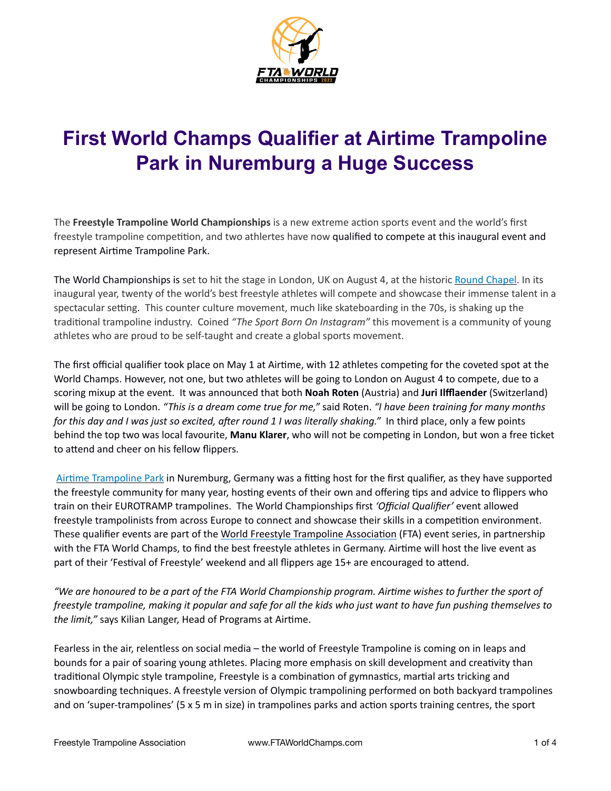

# **First World Champs Qualifier at Airtime Trampoline Park in Nuremburg a Huge Success**

The **Freestyle Trampoline World Championships** is a new extreme action sports event and the world's first freestyle trampoline competition, and two athlertes have now qualified to compete at this inaugural event and represent Airtime Trampoline Park.

The World Championships is set to hit the stage in London, UK on August 4, at the historic [Round Chapel.](https://www.roundchapel.org/) In its inaugural year, twenty of the world's best freestyle athletes will compete and showcase their immense talent in a spectacular setting. This counter culture movement, much like skateboarding in the 70s, is shaking up the traditional trampoline industry. Coined *"The Sport Born On Instagram"* this movement is a community of young athletes who are proud to be self-taught and create a global sports movement.

The first official qualifier took place on May 1 at Airtime, with 12 athletes competing for the coveted spot at the World Champs. However, not one, but two athletes will be going to London on August 4 to compete, due to a scoring mixup at the event. It was announced that both **Noah Roten** (Austria) and **Juri Ilfflaender** (Switzerland) will be going to London. *"This is a dream come true for me,"* said Roten. *"I have been training for many months for this day and I was just so excited, after round 1 I was literally shaking."* In third place, only a few points behind the top two was local favourite, **Manu Klarer**, who will not be competing in London, but won a free ticket to attend and cheer on his fellow flippers.

[Airtime Trampoline Park](https://airtimetrampolin.de/) in Nuremburg, Germany was a fitting host for the first qualifier, as they have supported the freestyle community for many year, hosting events of their own and offering tips and advice to flippers who train on their EUROTRAMP trampolines. The World Championships first *'Official Qualifier'* event allowed freestyle trampolinists from across Europe to connect and showcase their skills in a competition environment. These qualifier events are part of the [World Freestyle Trampoline Association](https://www.freestyletrampolineassociation.com/events) (FTA) event series, in partnership with the FTA World Champs, to find the best freestyle athletes in Germany. Airtime will host the live event as part of their 'Festival of Freestyle' weekend and all flippers age 15+ are encouraged to attend.

*"We are honoured to be a part of the FTA World Championship program. Airtime wishes to further the sport of freestyle trampoline, making it popular and safe for all the kids who just want to have fun pushing themselves to the limit,"* says Kilian Langer, Head of Programs at Airtime.

Fearless in the air, relentless on social media – the world of Freestyle Trampoline is coming on in leaps and bounds for a pair of soaring young athletes. Placing more emphasis on skill development and creativity than traditional Olympic style trampoline, Freestyle is a combination of gymnastics, martial arts tricking and snowboarding techniques. A freestyle version of Olympic trampolining performed on both backyard trampolines and on 'super-trampolines' (5 x 5 m in size) in trampolines parks and action sports training centres, the sport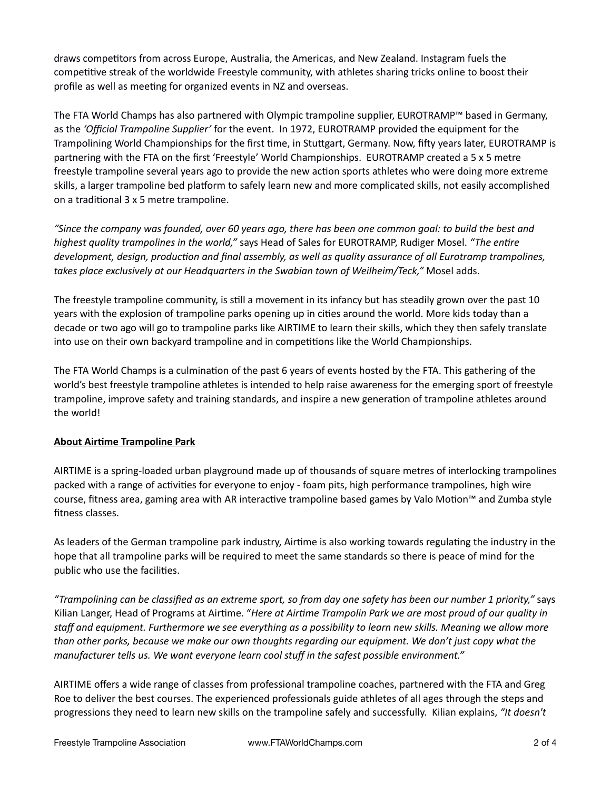draws competitors from across Europe, Australia, the Americas, and New Zealand. Instagram fuels the competitive streak of the worldwide Freestyle community, with athletes sharing tricks online to boost their profile as well as meeting for organized events in NZ and overseas.

The FTA World Champs has also partnered with Olympic trampoline supplier, [EUROTRAMP](https://www.eurotramp.com/en/company/why-eurotramp/)™ based in Germany, as the *'Official Trampoline Supplier'* for the event. In 1972, EUROTRAMP provided the equipment for the Trampolining World Championships for the first time, in Stuttgart, Germany. Now, fifty years later, EUROTRAMP is partnering with the FTA on the first 'Freestyle' World Championships. EUROTRAMP created a 5 x 5 metre freestyle trampoline several years ago to provide the new action sports athletes who were doing more extreme skills, a larger trampoline bed platform to safely learn new and more complicated skills, not easily accomplished on a traditional 3 x 5 metre trampoline.

*"Since the company was founded, over 60 years ago, there has been one common goal: to build the best and highest quality trampolines in the world,"* says Head of Sales for EUROTRAMP, Rudiger Mosel. *"The entire development, design, production and final assembly, as well as quality assurance of all Eurotramp trampolines, takes place exclusively at our Headquarters in the Swabian town of Weilheim/Teck,"* Mosel adds.

The freestyle trampoline community, is still a movement in its infancy but has steadily grown over the past 10 years with the explosion of trampoline parks opening up in cities around the world. More kids today than a decade or two ago will go to trampoline parks like AIRTIME to learn their skills, which they then safely translate into use on their own backyard trampoline and in competitions like the World Championships.

The FTA World Champs is a culmination of the past 6 years of events hosted by the FTA. This gathering of the world's best freestyle trampoline athletes is intended to help raise awareness for the emerging sport of freestyle trampoline, improve safety and training standards, and inspire a new generation of trampoline athletes around the world!

## **About Airtime Trampoline Park**

AIRTIME is a spring-loaded urban playground made up of thousands of square metres of interlocking trampolines packed with a range of activities for everyone to enjoy - foam pits, high performance trampolines, high wire course, fitness area, gaming area with AR interactive trampoline based games by Valo Motion™ and Zumba style fitness classes.

As leaders of the German trampoline park industry, Airtime is also working towards regulating the industry in the hope that all trampoline parks will be required to meet the same standards so there is peace of mind for the public who use the facilities.

*"Trampolining can be classified as an extreme sport, so from day one safety has been our number 1 priority,"* says Kilian Langer, Head of Programs at Airtime. "*Here at Airtime Trampolin Park we are most proud of our quality in staff and equipment. Furthermore we see everything as a possibility to learn new skills. Meaning we allow more than other parks, because we make our own thoughts regarding our equipment. We don't just copy what the manufacturer tells us. We want everyone learn cool stuff in the safest possible environment."*

AIRTIME offers a wide range of classes from professional trampoline coaches, partnered with the FTA and Greg Roe to deliver the best courses. The experienced professionals guide athletes of all ages through the steps and progressions they need to learn new skills on the trampoline safely and successfully. Kilian explains, *"It doesn't*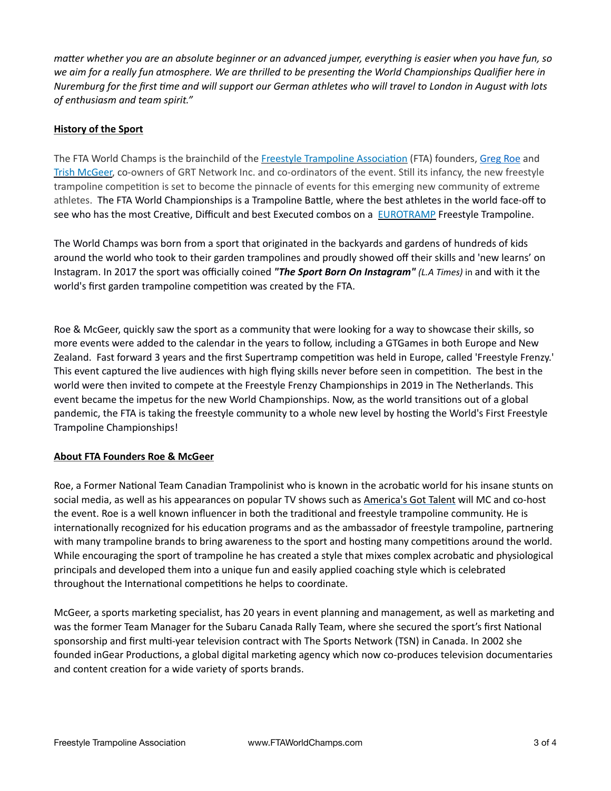*matter whether you are an absolute beginner or an advanced jumper, everything is easier when you have fun, so we aim for a really fun atmosphere. We are thrilled to be presenting the World Championships Qualifier here in Nuremburg for the first time and will support our German athletes who will travel to London in August with lots of enthusiasm and team spirit."*

## **History of the Sport**

The FTA World Champs is the brainchild of the [Freestyle Trampoline Association](http://www.freestyletrampolineassociation.com) (FTA) founders, [Greg Roe](https://www.youtube.com/watch?v=G_xZQOMmamk&list=PLzMCilhwGYueIbTIirq93i_nZJ2KL5XQY) and [Trish McGeer,](http://www.ingearproductions.com) co-owners of GRT Network Inc. and co-ordinators of the event. Still its infancy, the new freestyle trampoline competition is set to become the pinnacle of events for this emerging new community of extreme athletes. The FTA World Championships is a Trampoline Battle, where the best athletes in the world face-off to see who has the most Creative, Difficult and best Executed combos on a **EUROTRAMP** Freestyle Trampoline.

The World Champs was born from a sport that originated in the backyards and gardens of hundreds of kids around the world who took to their garden trampolines and proudly showed off their skills and 'new learns' on Instagram. In 2017 the sport was officially coined *"The Sport Born On Instagram" (L.A Times)* in and with it the world's first garden trampoline competition was created by the FTA.

Roe & McGeer, quickly saw the sport as a community that were looking for a way to showcase their skills, so more events were added to the calendar in the years to follow, including a GTGames in both Europe and New Zealand. Fast forward 3 years and the first Supertramp competition was held in Europe, called 'Freestyle Frenzy.' This event captured the live audiences with high flying skills never before seen in competition. The best in the world were then invited to compete at the Freestyle Frenzy Championships in 2019 in The Netherlands. This event became the impetus for the new World Championships. Now, as the world transitions out of a global pandemic, the FTA is taking the freestyle community to a whole new level by hosting the World's First Freestyle Trampoline Championships!

### **About FTA Founders Roe & McGeer**

Roe, a Former National Team Canadian Trampolinist who is known in the acrobatic world for his insane stunts on social media, as well as his appearances on popular TV shows such as [America's Got Talent](https://www.youtube.com/watch?v=RjjmB1vl3Fw) will MC and co-host the event. Roe is a well known influencer in both the traditional and freestyle trampoline community. He is internationally recognized for his education programs and as the ambassador of freestyle trampoline, partnering with many trampoline brands to bring awareness to the sport and hosting many competitions around the world. While encouraging the sport of trampoline he has created a style that mixes complex acrobatic and physiological principals and developed them into a unique fun and easily applied coaching style which is celebrated throughout the International competitions he helps to coordinate.

McGeer, a sports marketing specialist, has 20 years in event planning and management, as well as marketing and was the former Team Manager for the Subaru Canada Rally Team, where she secured the sport's first National sponsorship and first multi-year television contract with The Sports Network (TSN) in Canada. In 2002 she founded inGear Productions, a global digital marketing agency which now co-produces television documentaries and content creation for a wide variety of sports brands.